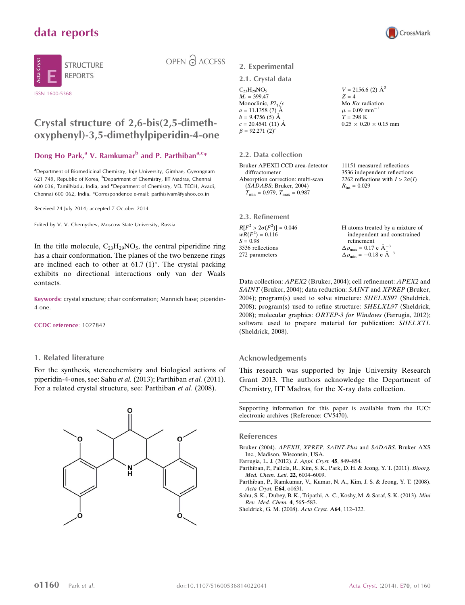## data reports



OPEN 2 ACCESS

# Crystal structure of 2,6-bis(2,5-dimeth-

## oxyphenyl)-3,5-dimethylpiperidin-4-one

## Dong Ho Park,<sup>a</sup> V. Ramkumar<sup>b</sup> and P. Parthiban<sup>a,c\*</sup>

<sup>a</sup> Department of Biomedicinal Chemistry, Inje University, Gimhae, Gyeongnam 621 749, Republic of Korea, <sup>b</sup>Department of Chemistry, IIT Madras, Chennai 600 036, TamilNadu, India, and <sup>c</sup>Department of Chemistry, VEL TECH, Avadi, Chennai 600 062, India. \*Correspondence e-mail: parthisivam@yahoo.co.in

Received 24 July 2014; accepted 7 October 2014

Edited by V. V. Chernyshev, Moscow State University, Russia

In the title molecule,  $C_{23}H_{29}NO_5$ , the central piperidine ring has a chair conformation. The planes of the two benzene rings are inclined each to other at  $61.7 \,(1)^\circ$ . The crystal packing exhibits no directional interactions only van der Waals contacts.

Keywords: crystal structure; chair conformation; Mannich base; piperidin-4-one.

#### CCDC reference: 1027842

### 1. Related literature

For the synthesis, stereochemistry and biological actions of piperidin-4-ones, see: Sahu et al. (2013); Parthiban et al. (2011). For a related crystal structure, see: Parthiban et al. (2008).



## 2. Experimental

### 2.1. Crystal data

| $C_{23}H_{29}NO_5$    | $V = 2156.6$ (2) $\AA^3$      |
|-----------------------|-------------------------------|
| $M_r = 399.47$        | $Z=4$                         |
| Monoclinic, $P2_1/c$  | Mo $K\alpha$ radiation        |
| $a = 11.1358(7)$ A    | $\mu = 0.09$ mm <sup>-1</sup> |
| $b = 9.4756(5)$ A     | $T = 298 \text{ K}$           |
| $c = 20.4541(11)$ Å   | $0.25 \times 0.20 \times 0.1$ |
| $\beta = 92.271(2)$ ° |                               |

#### 2.2. Data collection

| Bruker APEXII CCD area-detector         |
|-----------------------------------------|
| diffractometer                          |
| Absorption correction: multi-scan       |
| (SADABS; Bruker, 2004)                  |
| $T_{\min} = 0.979$ , $T_{\max} = 0.987$ |

2.3. Refinement  $R[F^2 > 2\sigma(F^2)] = 0.046$  $wR(F^2) = 0.116$  $S = 0.98$ 3536 reflections 272 parameters

 $15 \text{ mm}$ 

CrossMark

11151 measured reflections 3536 independent reflections 2262 reflections with  $I > 2\sigma(I)$  $R_{\text{int}} = 0.029$ 

| H atoms treated by a mixture of                              |
|--------------------------------------------------------------|
| independent and constrained                                  |
| refinement                                                   |
| $\Delta \rho_{\text{max}} = 0.17 \text{ e } \text{\AA}^{-3}$ |
| $\Delta \rho_{\rm min} = -0.18 \text{ e A}^{-3}$             |

Data collection: APEX2 (Bruker, 2004); cell refinement: APEX2 and SAINT (Bruker, 2004); data reduction: SAINT and XPREP (Bruker, 2004); program(s) used to solve structure: SHELXS97 (Sheldrick, 2008); program(s) used to refine structure: SHELXL97 (Sheldrick, 2008); molecular graphics: ORTEP-3 for Windows (Farrugia, 2012); software used to prepare material for publication: SHELXTL (Sheldrick, 2008).

### Acknowledgements

This research was supported by Inje University Research Grant 2013. The authors acknowledge the Department of Chemistry, IIT Madras, for the X-ray data collection.

Supporting information for this paper is available from the IUCr electronic archives (Reference: CV5470).

#### References

[Bruker \(2004\).](http://scripts.iucr.org/cgi-bin/cr.cgi?rm=pdfbb&cnor=cv5470&bbid=BB1) APEXII, XPREP, SAINT-Plus and SADABS. Bruker AXS [Inc., Madison, Wisconsin, USA.](http://scripts.iucr.org/cgi-bin/cr.cgi?rm=pdfbb&cnor=cv5470&bbid=BB1)

[Farrugia, L. J. \(2012\).](http://scripts.iucr.org/cgi-bin/cr.cgi?rm=pdfbb&cnor=cv5470&bbid=BB2) J. Appl. Cryst. 45, 849–854.

[Parthiban, P., Pallela, R., Kim, S. K., Park, D. H. & Jeong, Y. T. \(2011\).](http://scripts.iucr.org/cgi-bin/cr.cgi?rm=pdfbb&cnor=cv5470&bbid=BB3) Bioorg. [Med. Chem. Lett.](http://scripts.iucr.org/cgi-bin/cr.cgi?rm=pdfbb&cnor=cv5470&bbid=BB3) 22, 6004–6009.

[Parthiban, P., Ramkumar, V., Kumar, N. A., Kim, J. S. & Jeong, Y. T. \(2008\).](http://scripts.iucr.org/cgi-bin/cr.cgi?rm=pdfbb&cnor=cv5470&bbid=BB4) [Acta Cryst.](http://scripts.iucr.org/cgi-bin/cr.cgi?rm=pdfbb&cnor=cv5470&bbid=BB4) E64, o1631.

[Sahu, S. K., Dubey, B. K., Tripathi, A. C., Koshy, M. & Saraf, S. K. \(2013\).](http://scripts.iucr.org/cgi-bin/cr.cgi?rm=pdfbb&cnor=cv5470&bbid=BB5) Mini [Rev. Med. Chem.](http://scripts.iucr.org/cgi-bin/cr.cgi?rm=pdfbb&cnor=cv5470&bbid=BB5) 4, 565–583.

[Sheldrick, G. M. \(2008\).](http://scripts.iucr.org/cgi-bin/cr.cgi?rm=pdfbb&cnor=cv5470&bbid=BB6) Acta Cryst. A64, 112–122.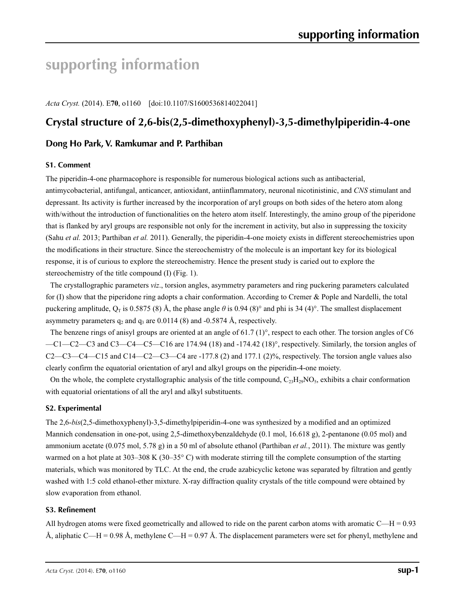# **supporting information**

*Acta Cryst.* (2014). E**70**, o1160 [doi:10.1107/S1600536814022041]

## **Crystal structure of 2,6-bis(2,5-dimethoxyphenyl)-3,5-dimethylpiperidin-4-one**

## **Dong Ho Park, V. Ramkumar and P. Parthiban**

### **S1. Comment**

The piperidin-4-one pharmacophore is responsible for numerous biological actions such as antibacterial, antimycobacterial, antifungal, anticancer, antioxidant, antiinflammatory, neuronal nicotinistinic, and *CNS* stimulant and depressant. Its activity is further increased by the incorporation of aryl groups on both sides of the hetero atom along with/without the introduction of functionalities on the hetero atom itself. Interestingly, the amino group of the piperidone that is flanked by aryl groups are responsible not only for the increment in activity, but also in suppressing the toxicity (Sahu *et al.* 2013; Parthiban *et al.* 2011). Generally, the piperidin-4-one moiety exists in different stereochemistries upon the modifications in their structure. Since the stereochemistry of the molecule is an important key for its biological response, it is of curious to explore the stereochemistry. Hence the present study is caried out to explore the stereochemistry of the title compound (I) (Fig. 1).

The crystallographic parameters *viz*., torsion angles, asymmetry parameters and ring puckering parameters calculated for (I) show that the piperidone ring adopts a chair conformation. According to Cremer & Pople and Nardelli, the total puckering amplitude,  $Q_T$  is 0.5875 (8) Å, the phase angle  $\theta$  is 0.94 (8)° and phi is 34 (4)°. The smallest displacement asymmetry parameters  $q_2$  and  $q_3$  are 0.0114 (8) and -0.5874 Å, respectively.

The benzene rings of anisyl groups are oriented at an angle of 61.7  $(1)^\circ$ , respect to each other. The torsion angles of C6 —C1—C2—C3 and C3—C4—C5—C16 are 174.94 (18) and -174.42 (18)°, respectively. Similarly, the torsion angles of  $C2-C3-C4-C15$  and  $C14-C2-C3-C4$  are  $-177.8$  (2) and  $177.1$  (2)%, respectively. The torsion angle values also clearly confirm the equatorial orientation of aryl and alkyl groups on the piperidin-4-one moiety.

On the whole, the complete crystallographic analysis of the title compound,  $C_{23}H_{29}NO_5$ , exhibits a chair conformation with equatorial orientations of all the aryl and alkyl substituents.

### **S2. Experimental**

The 2,6-*bis*(2,5-dimethoxyphenyl)-3,5-dimethylpiperidin-4-one was synthesized by a modified and an optimized Mannich condensation in one-pot, using 2,5-dimethoxybenzaldehyde (0.1 mol, 16.618 g), 2-pentanone (0.05 mol) and ammonium acetate (0.075 mol, 5.78 g) in a 50 ml of absolute ethanol (Parthiban *et al.*, 2011). The mixture was gently warmed on a hot plate at 303–308 K (30–35°C) with moderate stirring till the complete consumption of the starting materials, which was monitored by TLC. At the end, the crude azabicyclic ketone was separated by filtration and gently washed with 1:5 cold ethanol-ether mixture. X-ray diffraction quality crystals of the title compound were obtained by slow evaporation from ethanol.

### **S3. Refinement**

All hydrogen atoms were fixed geometrically and allowed to ride on the parent carbon atoms with aromatic  $C-H = 0.93$ Å, aliphatic C—H = 0.98 Å, methylene C—H = 0.97 Å. The displacement parameters were set for phenyl, methylene and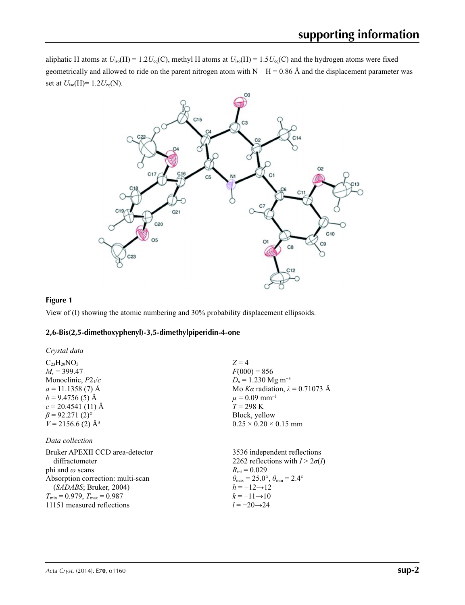aliphatic H atoms at  $U_{iso}(H) = 1.2U_{eq}(C)$ , methyl H atoms at  $U_{iso}(H) = 1.5U_{eq}(C)$  and the hydrogen atoms were fixed geometrically and allowed to ride on the parent nitrogen atom with  $N-H = 0.86$  Å and the displacement parameter was set at *U*iso(H)= 1.2*U*eq(N).



## **Figure 1**

View of (I) showing the atomic numbering and 30% probability displacement ellipsoids.

### **2,6-Bis(2,5-dimethoxyphenyl)-3,5-dimethylpiperidin-4-one**

| Crystal data                            |                                                       |
|-----------------------------------------|-------------------------------------------------------|
| $C_{23}H_{29}NO_5$                      | $Z=4$                                                 |
| $M_r = 399.47$                          | $F(000) = 856$                                        |
| Monoclinic, $P2_1/c$                    | $D_x = 1.230$ Mg m <sup>-3</sup>                      |
| $a = 11.1358(7)$ Å                      | Mo Ka radiation, $\lambda = 0.71073$ Å                |
| $b = 9.4756(5)$ Å                       | $\mu = 0.09$ mm <sup>-1</sup>                         |
| $c = 20.4541(11)$ Å                     | $T = 298 \text{ K}$                                   |
| $\beta$ = 92.271 (2) <sup>o</sup>       | Block, yellow                                         |
| $V = 2156.6$ (2) Å <sup>3</sup>         | $0.25 \times 0.20 \times 0.15$ mm                     |
| Data collection                         |                                                       |
| Bruker APEXII CCD area-detector         | 3536 independent reflections                          |
| diffractometer                          | 2262 reflections with $I > 2\sigma(I)$                |
| phi and $\omega$ scans                  | $R_{\text{int}} = 0.029$                              |
| Absorption correction: multi-scan       | $\theta_{\rm max}$ = 25.0°, $\theta_{\rm min}$ = 2.4° |
| (SADABS; Bruker, 2004)                  | $h = -12 \rightarrow 12$                              |
| $T_{\min} = 0.979$ , $T_{\max} = 0.987$ | $k = -11 \rightarrow 10$                              |
| 11151 measured reflections              | $l = -20 \rightarrow 24$                              |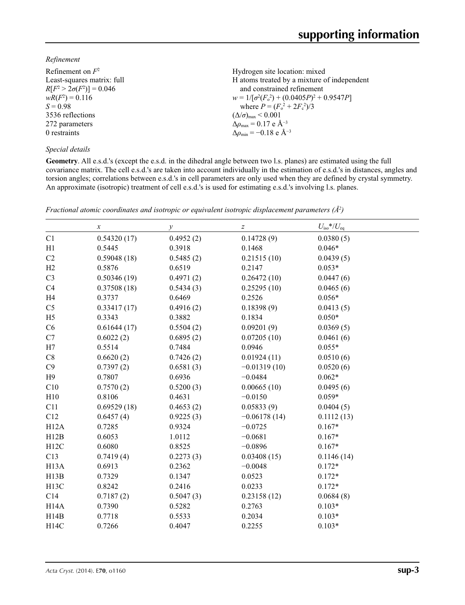## *Refinement*

| Refinement on $F^2$             | Hydrogen site location: mixed                      |
|---------------------------------|----------------------------------------------------|
| Least-squares matrix: full      | H atoms treated by a mixture of independent        |
| $R[F^2 > 2\sigma(F^2)] = 0.046$ | and constrained refinement                         |
| $wR(F^2) = 0.116$               | $w = 1/[\sigma^2(F_0^2) + (0.0405P)^2 + 0.9547P]$  |
| $S = 0.98$                      | where $P = (F_o^2 + 2F_c^2)/3$                     |
| 3536 reflections                | $(\Delta/\sigma)_{\text{max}}$ < 0.001             |
| 272 parameters                  | $\Delta \rho_{\text{max}} = 0.17 \text{ e A}^{-3}$ |
| 0 restraints                    | $\Delta \rho_{\rm min} = -0.18$ e $\rm \AA^{-3}$   |
|                                 |                                                    |

### *Special details*

**Geometry**. All e.s.d.'s (except the e.s.d. in the dihedral angle between two l.s. planes) are estimated using the full covariance matrix. The cell e.s.d.'s are taken into account individually in the estimation of e.s.d.'s in distances, angles and torsion angles; correlations between e.s.d.'s in cell parameters are only used when they are defined by crystal symmetry. An approximate (isotropic) treatment of cell e.s.d.'s is used for estimating e.s.d.'s involving l.s. planes.

|                   | $\boldsymbol{x}$ | $\mathcal{Y}$ | $\boldsymbol{Z}$ | $U_{\rm iso}*/U_{\rm eq}$ |
|-------------------|------------------|---------------|------------------|---------------------------|
| C1                | 0.54320(17)      | 0.4952(2)     | 0.14728(9)       | 0.0380(5)                 |
| H1                | 0.5445           | 0.3918        | 0.1468           | $0.046*$                  |
| C2                | 0.59048(18)      | 0.5485(2)     | 0.21515(10)      | 0.0439(5)                 |
| H2                | 0.5876           | 0.6519        | 0.2147           | $0.053*$                  |
| C <sub>3</sub>    | 0.50346(19)      | 0.4971(2)     | 0.26472(10)      | 0.0447(6)                 |
| C <sub>4</sub>    | 0.37508(18)      | 0.5434(3)     | 0.25295(10)      | 0.0465(6)                 |
| H <sub>4</sub>    | 0.3737           | 0.6469        | 0.2526           | $0.056*$                  |
| C <sub>5</sub>    | 0.33417(17)      | 0.4916(2)     | 0.18398(9)       | 0.0413(5)                 |
| H <sub>5</sub>    | 0.3343           | 0.3882        | 0.1834           | $0.050*$                  |
| C6                | 0.61644(17)      | 0.5504(2)     | 0.09201(9)       | 0.0369(5)                 |
| C7                | 0.6022(2)        | 0.6895(2)     | 0.07205(10)      | 0.0461(6)                 |
| H7                | 0.5514           | 0.7484        | 0.0946           | $0.055*$                  |
| C8                | 0.6620(2)        | 0.7426(2)     | 0.01924(11)      | 0.0510(6)                 |
| C9                | 0.7397(2)        | 0.6581(3)     | $-0.01319(10)$   | 0.0520(6)                 |
| H9                | 0.7807           | 0.6936        | $-0.0484$        | $0.062*$                  |
| C10               | 0.7570(2)        | 0.5200(3)     | 0.00665(10)      | 0.0495(6)                 |
| H10               | 0.8106           | 0.4631        | $-0.0150$        | $0.059*$                  |
| C11               | 0.69529(18)      | 0.4653(2)     | 0.05833(9)       | 0.0404(5)                 |
| C12               | 0.6457(4)        | 0.9225(3)     | $-0.06178(14)$   | 0.1112(13)                |
| H12A              | 0.7285           | 0.9324        | $-0.0725$        | $0.167*$                  |
| H12B              | 0.6053           | 1.0112        | $-0.0681$        | $0.167*$                  |
| H12C              | 0.6080           | 0.8525        | $-0.0896$        | $0.167*$                  |
| C13               | 0.7419(4)        | 0.2273(3)     | 0.03408(15)      | 0.1146(14)                |
| H <sub>13</sub> A | 0.6913           | 0.2362        | $-0.0048$        | $0.172*$                  |
| H13B              | 0.7329           | 0.1347        | 0.0523           | $0.172*$                  |
| H <sub>13</sub> C | 0.8242           | 0.2416        | 0.0233           | $0.172*$                  |
| C14               | 0.7187(2)        | 0.5047(3)     | 0.23158(12)      | 0.0684(8)                 |
| H <sub>14</sub> A | 0.7390           | 0.5282        | 0.2763           | $0.103*$                  |
| H14B              | 0.7718           | 0.5533        | 0.2034           | $0.103*$                  |
| H14C              | 0.7266           | 0.4047        | 0.2255           | $0.103*$                  |

*Fractional atomic coordinates and isotropic or equivalent isotropic displacement parameters (Å2 )*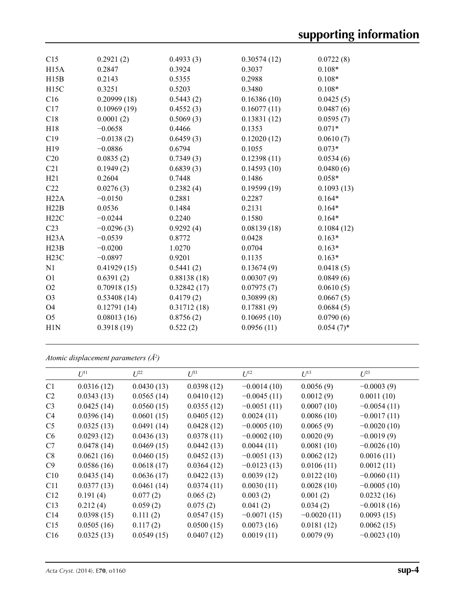| C15               | 0.2921(2)    | 0.4933(3)   | 0.30574(12) | 0.0722(8)    |
|-------------------|--------------|-------------|-------------|--------------|
| H <sub>15</sub> A | 0.2847       | 0.3924      | 0.3037      | $0.108*$     |
| H15B              | 0.2143       | 0.5355      | 0.2988      | $0.108*$     |
| H <sub>15</sub> C | 0.3251       | 0.5203      | 0.3480      | $0.108*$     |
| C16               | 0.20999(18)  | 0.5443(2)   | 0.16386(10) | 0.0425(5)    |
| C17               | 0.10969(19)  | 0.4552(3)   | 0.16077(11) | 0.0487(6)    |
| C18               | 0.0001(2)    | 0.5069(3)   | 0.13831(12) | 0.0595(7)    |
| H18               | $-0.0658$    | 0.4466      | 0.1353      | $0.071*$     |
| C19               | $-0.0138(2)$ | 0.6459(3)   | 0.12020(12) | 0.0610(7)    |
| H19               | $-0.0886$    | 0.6794      | 0.1055      | $0.073*$     |
| C20               | 0.0835(2)    | 0.7349(3)   | 0.12398(11) | 0.0534(6)    |
| C21               | 0.1949(2)    | 0.6839(3)   | 0.14593(10) | 0.0480(6)    |
| H21               | 0.2604       | 0.7448      | 0.1486      | $0.058*$     |
| C22               | 0.0276(3)    | 0.2382(4)   | 0.19599(19) | 0.1093(13)   |
| H22A              | $-0.0150$    | 0.2881      | 0.2287      | $0.164*$     |
| H22B              | 0.0536       | 0.1484      | 0.2131      | $0.164*$     |
| H22C              | $-0.0244$    | 0.2240      | 0.1580      | $0.164*$     |
| C <sub>23</sub>   | $-0.0296(3)$ | 0.9292(4)   | 0.08139(18) | 0.1084(12)   |
| H23A              | $-0.0539$    | 0.8772      | 0.0428      | $0.163*$     |
| H23B              | $-0.0200$    | 1.0270      | 0.0704      | $0.163*$     |
| H23C              | $-0.0897$    | 0.9201      | 0.1135      | $0.163*$     |
| N1                | 0.41929(15)  | 0.5441(2)   | 0.13674(9)  | 0.0418(5)    |
| O <sub>1</sub>    | 0.6391(2)    | 0.88138(18) | 0.00307(9)  | 0.0849(6)    |
| O <sub>2</sub>    | 0.70918(15)  | 0.32842(17) | 0.07975(7)  | 0.0610(5)    |
| O <sub>3</sub>    | 0.53408(14)  | 0.4179(2)   | 0.30899(8)  | 0.0667(5)    |
| O <sub>4</sub>    | 0.12791(14)  | 0.31712(18) | 0.17881(9)  | 0.0684(5)    |
| O <sub>5</sub>    | 0.08013(16)  | 0.8756(2)   | 0.10695(10) | 0.0790(6)    |
| H1N               | 0.3918(19)   | 0.522(2)    | 0.0956(11)  | $0.054(7)$ * |
|                   |              |             |             |              |

*Atomic displacement parameters (Å2 )*

|                 | $U^{11}$   | $U^{22}$   | $U^{33}$   | $U^{12}$      | $U^{13}$      | $U^{23}$      |
|-----------------|------------|------------|------------|---------------|---------------|---------------|
| C1              | 0.0316(12) | 0.0430(13) | 0.0398(12) | $-0.0014(10)$ | 0.0056(9)     | $-0.0003(9)$  |
| C <sub>2</sub>  | 0.0343(13) | 0.0565(14) | 0.0410(12) | $-0.0045(11)$ | 0.0012(9)     | 0.0011(10)    |
| C <sub>3</sub>  | 0.0425(14) | 0.0560(15) | 0.0355(12) | $-0.0051(11)$ | 0.0007(10)    | $-0.0054(11)$ |
| C4              | 0.0396(14) | 0.0601(15) | 0.0405(12) | 0.0024(11)    | 0.0086(10)    | $-0.0017(11)$ |
| C <sub>5</sub>  | 0.0325(13) | 0.0491(14) | 0.0428(12) | $-0.0005(10)$ | 0.0065(9)     | $-0.0020(10)$ |
| C6              | 0.0293(12) | 0.0436(13) | 0.0378(11) | $-0.0002(10)$ | 0.0020(9)     | $-0.0019(9)$  |
| C7              | 0.0478(14) | 0.0469(15) | 0.0442(13) | 0.0044(11)    | 0.0081(10)    | $-0.0026(10)$ |
| C8              | 0.0621(16) | 0.0460(15) | 0.0452(13) | $-0.0051(13)$ | 0.0062(12)    | 0.0016(11)    |
| C9              | 0.0586(16) | 0.0618(17) | 0.0364(12) | $-0.0123(13)$ | 0.0106(11)    | 0.0012(11)    |
| C10             | 0.0435(14) | 0.0636(17) | 0.0422(13) | 0.0039(12)    | 0.0122(10)    | $-0.0060(11)$ |
| C11             | 0.0377(13) | 0.0461(14) | 0.0374(11) | 0.0030(11)    | 0.0028(10)    | $-0.0005(10)$ |
| C12             | 0.191(4)   | 0.077(2)   | 0.065(2)   | 0.003(2)      | 0.001(2)      | 0.0232(16)    |
| C13             | 0.212(4)   | 0.059(2)   | 0.075(2)   | 0.041(2)      | 0.034(2)      | $-0.0018(16)$ |
| C <sub>14</sub> | 0.0398(15) | 0.111(2)   | 0.0547(15) | $-0.0071(15)$ | $-0.0020(11)$ | 0.0093(15)    |
| C15             | 0.0505(16) | 0.117(2)   | 0.0500(15) | 0.0073(16)    | 0.0181(12)    | 0.0062(15)    |
| C16             | 0.0325(13) | 0.0549(15) | 0.0407(12) | 0.0019(11)    | 0.0079(9)     | $-0.0023(10)$ |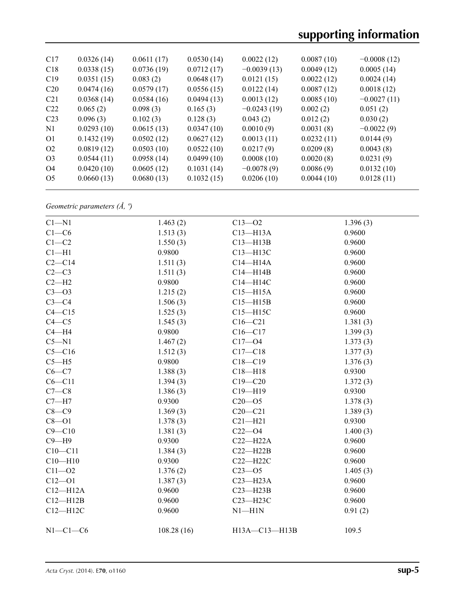| C17             | 0.0326(14) | 0.0611(17) | 0.0530(14) | 0.0022(12)    | 0.0087(10) | $-0.0008(12)$ |
|-----------------|------------|------------|------------|---------------|------------|---------------|
| C18             | 0.0338(15) | 0.0736(19) | 0.0712(17) | $-0.0039(13)$ | 0.0049(12) | 0.0005(14)    |
| C19             | 0.0351(15) | 0.083(2)   | 0.0648(17) | 0.0121(15)    | 0.0022(12) | 0.0024(14)    |
| C <sub>20</sub> | 0.0474(16) | 0.0579(17) | 0.0556(15) | 0.0122(14)    | 0.0087(12) | 0.0018(12)    |
| C <sub>21</sub> | 0.0368(14) | 0.0584(16) | 0.0494(13) | 0.0013(12)    | 0.0085(10) | $-0.0027(11)$ |
| C22             | 0.065(2)   | 0.098(3)   | 0.165(3)   | $-0.0243(19)$ | 0.002(2)   | 0.051(2)      |
| C <sub>23</sub> | 0.096(3)   | 0.102(3)   | 0.128(3)   | 0.043(2)      | 0.012(2)   | 0.030(2)      |
| N <sub>1</sub>  | 0.0293(10) | 0.0615(13) | 0.0347(10) | 0.0010(9)     | 0.0031(8)  | $-0.0022(9)$  |
| O <sub>1</sub>  | 0.1432(19) | 0.0502(12) | 0.0627(12) | 0.0013(11)    | 0.0232(11) | 0.0144(9)     |
| O <sub>2</sub>  | 0.0819(12) | 0.0503(10) | 0.0522(10) | 0.0217(9)     | 0.0209(8)  | 0.0043(8)     |
| O <sub>3</sub>  | 0.0544(11) | 0.0958(14) | 0.0499(10) | 0.0008(10)    | 0.0020(8)  | 0.0231(9)     |
| O4              | 0.0420(10) | 0.0605(12) | 0.1031(14) | $-0.0078(9)$  | 0.0086(9)  | 0.0132(10)    |
| O <sub>5</sub>  | 0.0660(13) | 0.0680(13) | 0.1032(15) | 0.0206(10)    | 0.0044(10) | 0.0128(11)    |
|                 |            |            |            |               |            |               |

*Geometric parameters (Å, º)*

| $C1 - N1$    | 1.463(2)   | $C13 - 02$    | 1.396(3) |  |
|--------------|------------|---------------|----------|--|
| $C1-C6$      | 1.513(3)   | $C13 - H13A$  | 0.9600   |  |
| $C1-C2$      | 1.550(3)   | $C13 - H13B$  | 0.9600   |  |
| $Cl - H1$    | 0.9800     | C13-H13C      | 0.9600   |  |
| $C2-C14$     | 1.511(3)   | $C14 - H14A$  | 0.9600   |  |
| $C2-C3$      | 1.511(3)   | $C14 - H14B$  | 0.9600   |  |
| $C2 - H2$    | 0.9800     | C14-H14C      | 0.9600   |  |
| $C3 - 03$    | 1.215(2)   | $C15 - H15A$  | 0.9600   |  |
| $C3-C4$      | 1.506(3)   | $C15 - H15B$  | 0.9600   |  |
| $C4 - C15$   | 1.525(3)   | $C15 - H15C$  | 0.9600   |  |
| $C4 - C5$    | 1.545(3)   | $C16-C21$     | 1.381(3) |  |
| $C4 - H4$    | 0.9800     | $C16 - C17$   | 1.399(3) |  |
| $C5 - N1$    | 1.467(2)   | $C17 - 04$    | 1.373(3) |  |
| $C5 - C16$   | 1.512(3)   | $C17-C18$     | 1.377(3) |  |
| $C5 - H5$    | 0.9800     | $C18 - C19$   | 1.376(3) |  |
| $C6 - C7$    | 1.388(3)   | $C18 - H18$   | 0.9300   |  |
| $C6 - C11$   | 1.394(3)   | $C19 - C20$   | 1.372(3) |  |
| $C7-C8$      | 1.386(3)   | $C19 - H19$   | 0.9300   |  |
| $C7 - H7$    | 0.9300     | $C20 - 05$    | 1.378(3) |  |
| $C8 - C9$    | 1.369(3)   | $C20-C21$     | 1.389(3) |  |
| $C8 - O1$    | 1.378(3)   | $C21 - H21$   | 0.9300   |  |
| $C9 - C10$   | 1.381(3)   | $C22 - O4$    | 1.400(3) |  |
| $C9 - H9$    | 0.9300     | $C22-H22A$    | 0.9600   |  |
| $C10 - C11$  | 1.384(3)   | $C22 - H22B$  | 0.9600   |  |
| $C10 - H10$  | 0.9300     | $C22 - H22C$  | 0.9600   |  |
| $C11 - O2$   | 1.376(2)   | $C23 - 05$    | 1.405(3) |  |
| $C12 - O1$   | 1.387(3)   | $C23 - H23A$  | 0.9600   |  |
| $C12 - H12A$ | 0.9600     | $C23 - H23B$  | 0.9600   |  |
| $C12 - H12B$ | 0.9600     | C23-H23C      | 0.9600   |  |
| $C12 - H12C$ | 0.9600     | $N1 - H1N$    | 0.91(2)  |  |
| $N1-C1-C6$   | 108.28(16) | H13A-C13-H13B | 109.5    |  |
|              |            |               |          |  |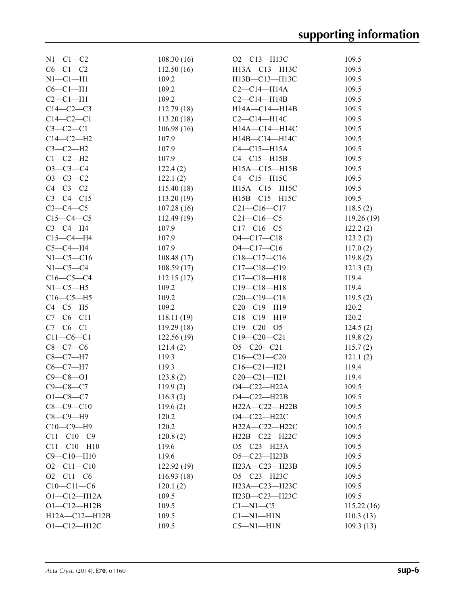| $N1-C1-C2$                   | 108.30(16)  | $O2 - C13 - H13C$                      | 109.5      |
|------------------------------|-------------|----------------------------------------|------------|
| $C6-C1-C2$                   | 112.50(16)  | H13A-C13-H13C                          | 109.5      |
| $N1-C1-H1$                   | 109.2       | H13B-C13-H13C                          | 109.5      |
| $C6-C1-H1$                   | 109.2       | $C2-C14-H14A$                          | 109.5      |
| $C2-C1-H1$                   | 109.2       | $C2-C14-H14B$                          | 109.5      |
| $C14-C2-C3$                  | 112.79(18)  | $H14A - C14 - H14B$                    | 109.5      |
| $C14 - C2 - C1$              | 113.20(18)  | $C2-C14-H14C$                          | 109.5      |
| $C3-C2-C1$                   | 106.98(16)  | H14A—C14—H14C                          | 109.5      |
| $C14-C2-H2$                  | 107.9       | H14B-C14-H14C                          | 109.5      |
| $C3-C2-H2$                   | 107.9       | $C4-C15-H15A$                          | 109.5      |
| $C1-C2-H2$                   | 107.9       | $C4-C15-H15B$                          | 109.5      |
| $O3-C3-C4$                   | 122.4(2)    | $H15A - C15 - H15B$                    | 109.5      |
| $O3-C3-C2$                   | 122.1(2)    | $C4-C15-H15C$                          | 109.5      |
| $C4-C3-C2$                   | 115.40(18)  | H15A-C15-H15C                          | 109.5      |
| $C3 - C4 - C15$              | 113.20(19)  | H15B-C15-H15C                          | 109.5      |
| $C3-C4-C5$                   | 107.28(16)  | $C21 - C16 - C17$                      | 118.5(2)   |
| $C15-C4-C5$                  | 112.49(19)  | $C21 - C16 - C5$                       | 119.26(19) |
| $C3-C4-H4$                   | 107.9       | $C17 - C16 - C5$                       | 122.2(2)   |
| $C15-C4-H4$                  | 107.9       | O4-C17-C18                             | 123.2(2)   |
| $C5-C4-H4$                   | 107.9       | O4-C17-C16                             | 117.0(2)   |
| $N1 - C5 - C16$              | 108.48(17)  | $C18 - C17 - C16$                      | 119.8(2)   |
| $N1-C5-C4$                   | 108.59(17)  | $C17 - C18 - C19$                      | 121.3(2)   |
| $C16-C5-C4$                  | 112.15(17)  | $C17 - C18 - H18$                      | 119.4      |
| $N1-C5-H5$                   | 109.2       | $C19 - C18 - H18$                      | 119.4      |
| $C16-C5-H5$                  | 109.2       | $C20-C19-C18$                          | 119.5(2)   |
| $C4-C5-H5$                   | 109.2       | $C20-C19-H19$                          | 120.2      |
| $C7-C6-C11$                  | 118.11(19)  | $C18 - C19 - H19$                      | 120.2      |
| $C7-C6-C1$                   | 119.29(18)  | $C19 - C20 - 05$                       | 124.5(2)   |
| $C11-C6-C1$                  | 122.56(19)  | $C19 - C20 - C21$                      |            |
|                              |             |                                        | 119.8(2)   |
| $C8 - C7 - C6$<br>$C8-C7-H7$ | 121.4(2)    | $O5 - C20 - C21$                       | 115.7(2)   |
|                              | 119.3       | $C16 - C21 - C20$<br>$C16 - C21 - H21$ | 121.1(2)   |
| $C6-C7-H7$                   | 119.3       |                                        | 119.4      |
| $C9 - C8 - O1$               | 123.8(2)    | $C20-C21-H21$                          | 119.4      |
| $C9 - C8 - C7$               | 119.9(2)    | $O4 - C22 - H22A$                      | 109.5      |
| $O1 - C8 - C7$               | 116.3(2)    | O4-C22-H22B                            | 109.5      |
| $C8 - C9 - C10$              | 119.6(2)    | $H22A - C22 - H22B$                    | 109.5      |
| $C8-C9-H9$                   | 120.2       | O4-C22-H22C                            | 109.5      |
| $C10-C9-H9$                  | 120.2       | H22A-C22-H22C                          | 109.5      |
| $C11 - C10 - C9$             | 120.8(2)    | H22B-C22-H22C                          | 109.5      |
| $C11 - C10 - H10$            | 119.6       | O5-C23-H23A                            | 109.5      |
| $C9 - C10 - H10$             | 119.6       | $O5 - C23 - H23B$                      | 109.5      |
| $O2 - Cl1 - Cl0$             | 122.92 (19) | $H23A - C23 - H23B$                    | 109.5      |
| $O2 - C11 - C6$              | 116.93(18)  | O5-C23-H23C                            | 109.5      |
| $C10-C11-C6$                 | 120.1(2)    | $H23A - C23 - H23C$                    | 109.5      |
| $O1 - C12 - H12A$            | 109.5       | H23B-C23-H23C                          | 109.5      |
| $O1 - C12 - H12B$            | 109.5       | $C1 - N1 - C5$                         | 115.22(16) |
| $H12A - C12 - H12B$          | 109.5       | $Cl-M1-H1N$                            | 110.3(13)  |
| $O1 - C12 - H12C$            | 109.5       | $C5-M1-H1N$                            | 109.3(13)  |